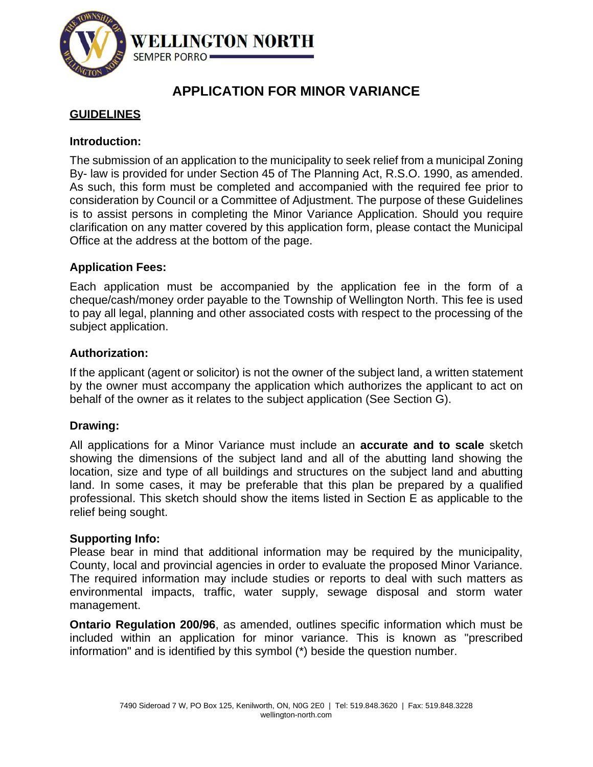

# **APPLICATION FOR MINOR VARIANCE**

# **GUIDELINES**

### **Introduction:**

The submission of an application to the municipality to seek relief from a municipal Zoning By- law is provided for under Section 45 of The Planning Act, R.S.O. 1990, as amended. As such, this form must be completed and accompanied with the required fee prior to consideration by Council or a Committee of Adjustment. The purpose of these Guidelines is to assist persons in completing the Minor Variance Application. Should you require clarification on any matter covered by this application form, please contact the Municipal Office at the address at the bottom of the page.

### **Application Fees:**

Each application must be accompanied by the application fee in the form of a cheque/cash/money order payable to the Township of Wellington North. This fee is used to pay all legal, planning and other associated costs with respect to the processing of the subject application.

### **Authorization:**

If the applicant (agent or solicitor) is not the owner of the subject land, a written statement by the owner must accompany the application which authorizes the applicant to act on behalf of the owner as it relates to the subject application (See Section G).

### **Drawing:**

All applications for a Minor Variance must include an **accurate and to scale** sketch showing the dimensions of the subject land and all of the abutting land showing the location, size and type of all buildings and structures on the subject land and abutting land. In some cases, it may be preferable that this plan be prepared by a qualified professional. This sketch should show the items listed in Section E as applicable to the relief being sought.

### **Supporting Info:**

Please bear in mind that additional information may be required by the municipality, County, local and provincial agencies in order to evaluate the proposed Minor Variance. The required information may include studies or reports to deal with such matters as environmental impacts, traffic, water supply, sewage disposal and storm water management.

**Ontario Regulation 200/96**, as amended, outlines specific information which must be included within an application for minor variance. This is known as "prescribed information" and is identified by this symbol (\*) beside the question number.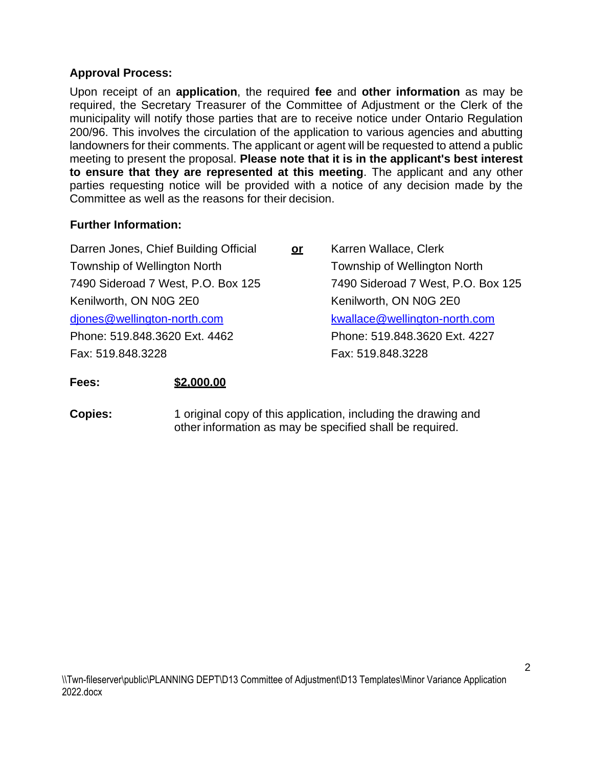### **Approval Process:**

Upon receipt of an **application**, the required **fee** and **other information** as may be required, the Secretary Treasurer of the Committee of Adjustment or the Clerk of the municipality will notify those parties that are to receive notice under Ontario Regulation 200/96. This involves the circulation of the application to various agencies and abutting landowners for their comments. The applicant or agent will be requested to attend a public meeting to present the proposal. **Please note that it is in the applicant's best interest to ensure that they are represented at this meeting**. The applicant and any other parties requesting notice will be provided with a notice of any decision made by the Committee as well as the reasons for their decision.

### **Further Information:**

| Darren Jones, Chief Building Official | <u>or</u> | Karren Wallace, Clerk              |
|---------------------------------------|-----------|------------------------------------|
| <b>Township of Wellington North</b>   |           | Township of Wellington North       |
| 7490 Sideroad 7 West, P.O. Box 125    |           | 7490 Sideroad 7 West, P.O. Box 125 |
| Kenilworth, ON N0G 2E0                |           | Kenilworth, ON N0G 2E0             |
| djones@wellington-north.com           |           | kwallace@wellington-north.com      |
| Phone: 519.848.3620 Ext. 4462         |           | Phone: 519.848.3620 Ext. 4227      |
| Fax: 519.848.3228                     |           | Fax: 519.848.3228                  |

### **Fees: \$2,000.00**

**Copies:** 1 original copy of this application, including the drawing and other information as may be specified shall be required.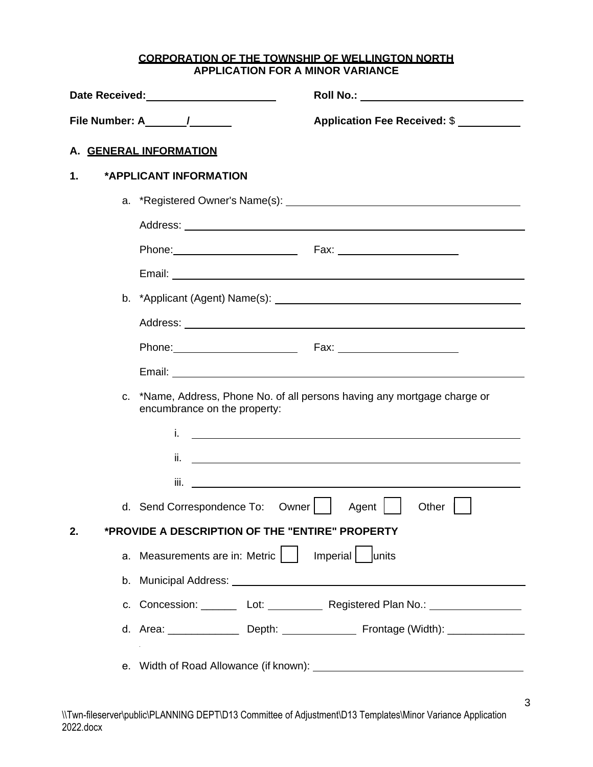#### **CORPORATION OF THE TOWNSHIP OF WELLINGTON NORTH APPLICATION FOR A MINOR VARIANCE**

|    | Date Received:<br><u>Date Received:</u>                                                                                                                                                                                        |
|----|--------------------------------------------------------------------------------------------------------------------------------------------------------------------------------------------------------------------------------|
|    | Application Fee Received: \$                                                                                                                                                                                                   |
|    | A. GENERAL INFORMATION                                                                                                                                                                                                         |
| 1. | *APPLICANT INFORMATION                                                                                                                                                                                                         |
|    |                                                                                                                                                                                                                                |
|    |                                                                                                                                                                                                                                |
|    | Phone: Fax: Fax: Fax: Phone:                                                                                                                                                                                                   |
|    |                                                                                                                                                                                                                                |
|    |                                                                                                                                                                                                                                |
|    |                                                                                                                                                                                                                                |
|    | Phone: Fax: Fax: Fax: Phone: Phone: Phone: Phone: Phone: Phone: Phone: Phone: Phone: Phone: Phone: Phone: Phone: Phone: Phone: Phone: Phone: Phone: Phone: Phone: Phone: Phone: Phone: Phone: Phone: Phone: Phone: Phone: Phon |
|    |                                                                                                                                                                                                                                |
|    | c. *Name, Address, Phone No. of all persons having any mortgage charge or                                                                                                                                                      |
|    | encumbrance on the property:                                                                                                                                                                                                   |
|    | i.<br><u> 1980 - Johann Barnett, fransk politik (d. 1980)</u>                                                                                                                                                                  |
|    | ii. <u>The company of the company of the company of the company of the company of the company of the company of</u>                                                                                                            |
|    | iii.                                                                                                                                                                                                                           |
|    | d. Send Correspondence To:<br>Owner    <br>Agent  <br>Other $\vert$                                                                                                                                                            |
| 2. | *PROVIDE A DESCRIPTION OF THE "ENTIRE" PROPERTY                                                                                                                                                                                |
|    | Imperial   units<br>a. Measurements are in: Metric                                                                                                                                                                             |
|    |                                                                                                                                                                                                                                |
|    | c. Concession: Lot: Lot: Registered Plan No.: Lettermann Lote Plan No.: Lettermann Lote Plan No.: Lettermann L                                                                                                                 |
|    | d. Area: ________________ Depth: ________________ Frontage (Width): ____________                                                                                                                                               |
|    |                                                                                                                                                                                                                                |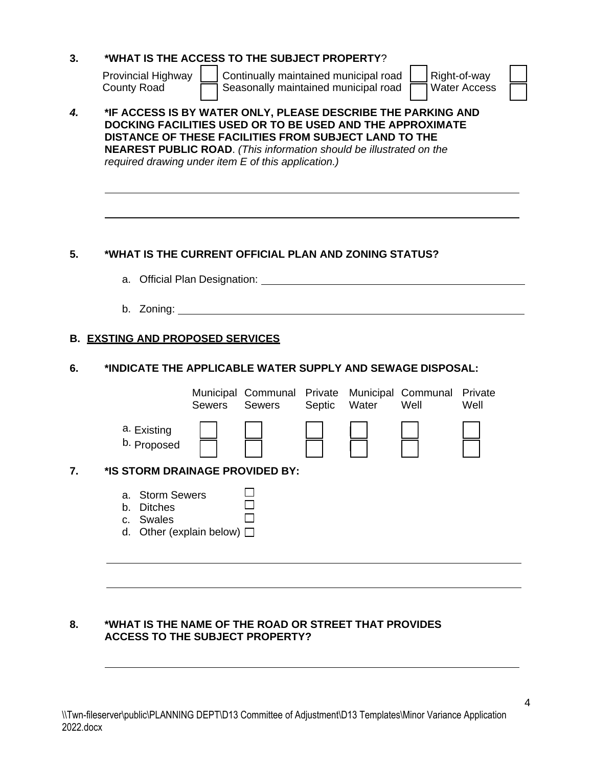| 3. | *WHAT IS THE ACCESS TO THE SUBJECT PROPERTY?                                                                                                                                                                                                                                                                            |
|----|-------------------------------------------------------------------------------------------------------------------------------------------------------------------------------------------------------------------------------------------------------------------------------------------------------------------------|
|    | Continually maintained municipal road<br>Right-of-way<br><b>Provincial Highway</b><br>Seasonally maintained municipal road<br><b>Water Access</b><br><b>County Road</b>                                                                                                                                                 |
| 4. | *IF ACCESS IS BY WATER ONLY, PLEASE DESCRIBE THE PARKING AND<br>DOCKING FACILITIES USED OR TO BE USED AND THE APPROXIMATE<br>DISTANCE OF THESE FACILITIES FROM SUBJECT LAND TO THE<br><b>NEAREST PUBLIC ROAD.</b> (This information should be illustrated on the<br>required drawing under item E of this application.) |
| 5. | *WHAT IS THE CURRENT OFFICIAL PLAN AND ZONING STATUS?<br>b. Zoning: $\qquad \qquad$                                                                                                                                                                                                                                     |
|    |                                                                                                                                                                                                                                                                                                                         |
|    | <b>B. EXSTING AND PROPOSED SERVICES</b>                                                                                                                                                                                                                                                                                 |
| 6. | *INDICATE THE APPLICABLE WATER SUPPLY AND SEWAGE DISPOSAL:                                                                                                                                                                                                                                                              |
|    | Municipal Communal Private Municipal Communal<br>Private<br>Sewers<br>Water<br><b>Sewers</b><br>Septic<br>Well<br>Well                                                                                                                                                                                                  |
|    | a. Existing<br>b. Proposed                                                                                                                                                                                                                                                                                              |
| 7. | *IS STORM DRAINAGE PROVIDED BY:                                                                                                                                                                                                                                                                                         |
|    | <b>Storm Sewers</b><br>а.<br><b>Ditches</b><br>b.<br>Swales<br>C.<br>Other (explain below)<br>d.                                                                                                                                                                                                                        |
|    |                                                                                                                                                                                                                                                                                                                         |

### **8. \*WHAT IS THE NAME OF THE ROAD OR STREET THAT PROVIDES ACCESS TO THE SUBJECT PROPERTY?**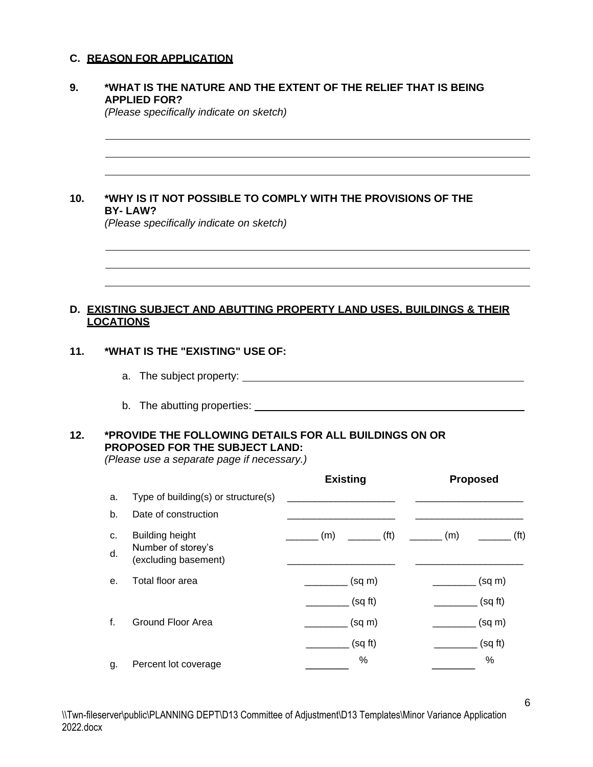#### **C. REASON FOR APPLICATION**

#### **9. \*WHAT IS THE NATURE AND THE EXTENT OF THE RELIEF THAT IS BEING APPLIED FOR?**

*(Please specifically indicate on sketch)*

#### **10. \*WHY IS IT NOT POSSIBLE TO COMPLY WITH THE PROVISIONS OF THE BY- LAW?**

*(Please specifically indicate on sketch)*

#### **D. EXISTING SUBJECT AND ABUTTING PROPERTY LAND USES, BUILDINGS & THEIR LOCATIONS**

#### **11. \*WHAT IS THE "EXISTING" USE OF:**

- a. The subject property:
- b. The abutting properties:

### **12. \*PROVIDE THE FOLLOWING DETAILS FOR ALL BUILDINGS ON OR PROPOSED FOR THE SUBJECT LAND:**

*(Please use a separate page if necessary.)*

| Type of building(s) or structure(s)<br>a.<br>b.<br>Date of construction<br>f(t)<br><b>Building height</b><br>(m)<br>(m)<br>c.<br>Number of storey's<br>d.<br>(excluding basement) | <b>Proposed</b> |
|-----------------------------------------------------------------------------------------------------------------------------------------------------------------------------------|-----------------|
|                                                                                                                                                                                   |                 |
|                                                                                                                                                                                   |                 |
|                                                                                                                                                                                   | f(t)            |
|                                                                                                                                                                                   |                 |
| Total floor area<br>$(sq \, m)$<br>е.                                                                                                                                             | $(sq \, m)$     |
| (sqft)                                                                                                                                                                            | (sqft)          |
| f.<br>Ground Floor Area<br>$(sq \, m)$                                                                                                                                            | $(sq \, m)$     |
| (sqft)                                                                                                                                                                            | (sqft)          |
| %<br>Percent lot coverage<br>g.                                                                                                                                                   | %               |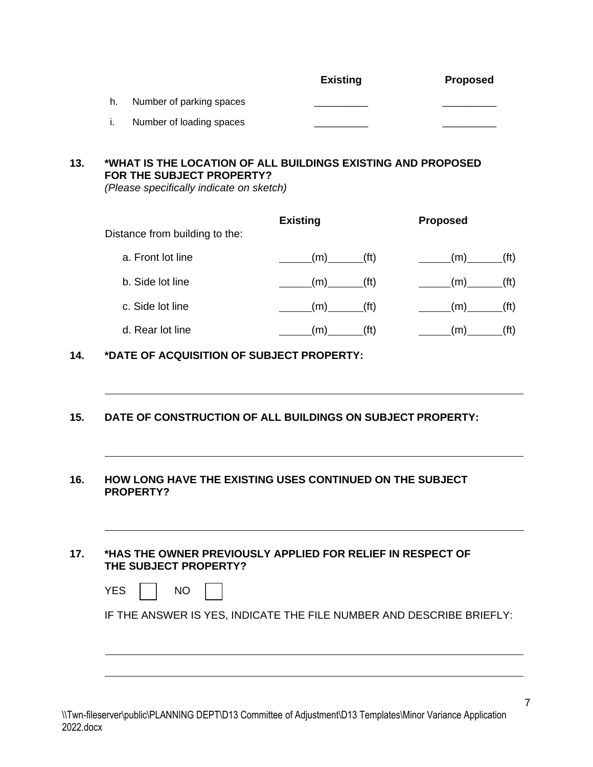|                          | <b>Existing</b> | <b>Proposed</b> |
|--------------------------|-----------------|-----------------|
| Number of parking spaces |                 |                 |
| Number of loading spaces |                 |                 |

## **13. \*WHAT IS THE LOCATION OF ALL BUILDINGS EXISTING AND PROPOSED FOR THE SUBJECT PROPERTY?**

*(Please specifically indicate on sketch)*

| Distance from building to the: | <b>Existing</b> |                   | <b>Proposed</b> |                   |
|--------------------------------|-----------------|-------------------|-----------------|-------------------|
| a. Front lot line              | (m)             | (f <sup>t</sup> ) | (m)             | (ft)              |
| b. Side lot line               | (m)             | (f <sup>t</sup> ) | (m)             | (ft)              |
| c. Side lot line               | (m)             | (f <sub>t</sub> ) | (m)             | (f <sup>t</sup> ) |
| d. Rear lot line               | m)              | (ft)              | (m)             |                   |

**14. \*DATE OF ACQUISITION OF SUBJECT PROPERTY:**

**15. DATE OF CONSTRUCTION OF ALL BUILDINGS ON SUBJECT PROPERTY:**

#### **16. HOW LONG HAVE THE EXISTING USES CONTINUED ON THE SUBJECT PROPERTY?**

#### **17. \*HAS THE OWNER PREVIOUSLY APPLIED FOR RELIEF IN RESPECT OF THE SUBJECT PROPERTY?**

| IF THE ANSWER IS YES, INDICATE THE FILE NUMBER AND DESCRIBE BRIEFLY: |  |
|----------------------------------------------------------------------|--|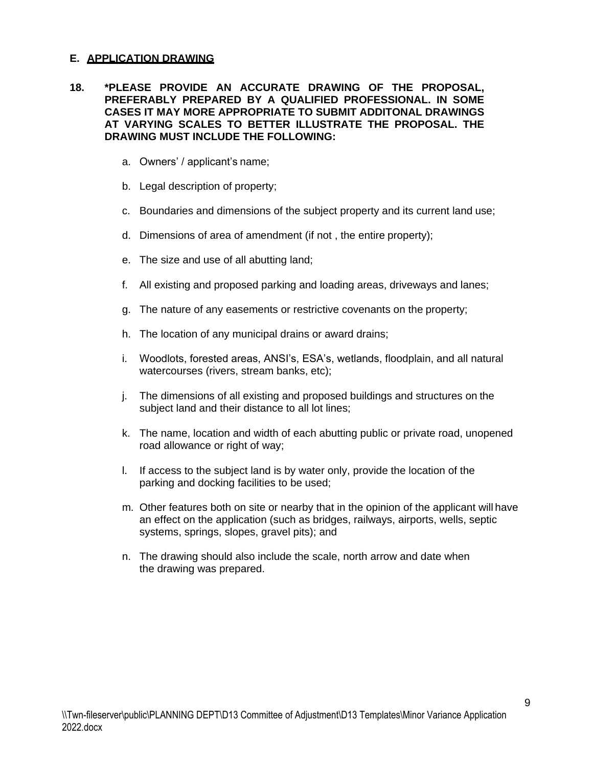#### **E. APPLICATION DRAWING**

#### **18. \*PLEASE PROVIDE AN ACCURATE DRAWING OF THE PROPOSAL, PREFERABLY PREPARED BY A QUALIFIED PROFESSIONAL. IN SOME CASES IT MAY MORE APPROPRIATE TO SUBMIT ADDITONAL DRAWINGS AT VARYING SCALES TO BETTER ILLUSTRATE THE PROPOSAL. THE DRAWING MUST INCLUDE THE FOLLOWING:**

- a. Owners' / applicant's name;
- b. Legal description of property;
- c. Boundaries and dimensions of the subject property and its current land use;
- d. Dimensions of area of amendment (if not , the entire property);
- e. The size and use of all abutting land;
- f. All existing and proposed parking and loading areas, driveways and lanes;
- g. The nature of any easements or restrictive covenants on the property;
- h. The location of any municipal drains or award drains;
- i. Woodlots, forested areas, ANSI's, ESA's, wetlands, floodplain, and all natural watercourses (rivers, stream banks, etc);
- j. The dimensions of all existing and proposed buildings and structures on the subject land and their distance to all lot lines;
- k. The name, location and width of each abutting public or private road, unopened road allowance or right of way;
- l. If access to the subject land is by water only, provide the location of the parking and docking facilities to be used;
- m. Other features both on site or nearby that in the opinion of the applicant will have an effect on the application (such as bridges, railways, airports, wells, septic systems, springs, slopes, gravel pits); and
- n. The drawing should also include the scale, north arrow and date when the drawing was prepared.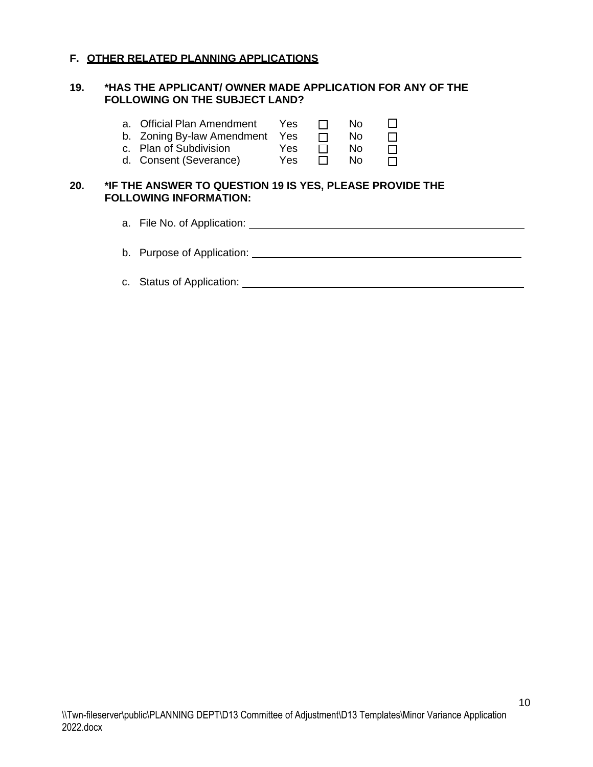#### **F. OTHER RELATED PLANNING APPLICATIONS**

#### **19. \*HAS THE APPLICANT/ OWNER MADE APPLICATION FOR ANY OF THE FOLLOWING ON THE SUBJECT LAND?**

|     |    | a. Official Plan Amendment<br>b. Zoning By-law Amendment<br>c. Plan of Subdivision<br>d. Consent (Severance) | Yes.<br><b>Yes</b><br>Yes<br>Yes | $\mathsf{L}$ | No<br>No.<br>No.<br>No. |  |
|-----|----|--------------------------------------------------------------------------------------------------------------|----------------------------------|--------------|-------------------------|--|
| 20. |    | *IF THE ANSWER TO QUESTION 19 IS YES, PLEASE PROVIDE THE<br><b>FOLLOWING INFORMATION:</b>                    |                                  |              |                         |  |
|     |    | a. File No. of Application:                                                                                  |                                  |              |                         |  |
|     | b. | Purpose of Application:                                                                                      |                                  |              |                         |  |

c. Status of Application: